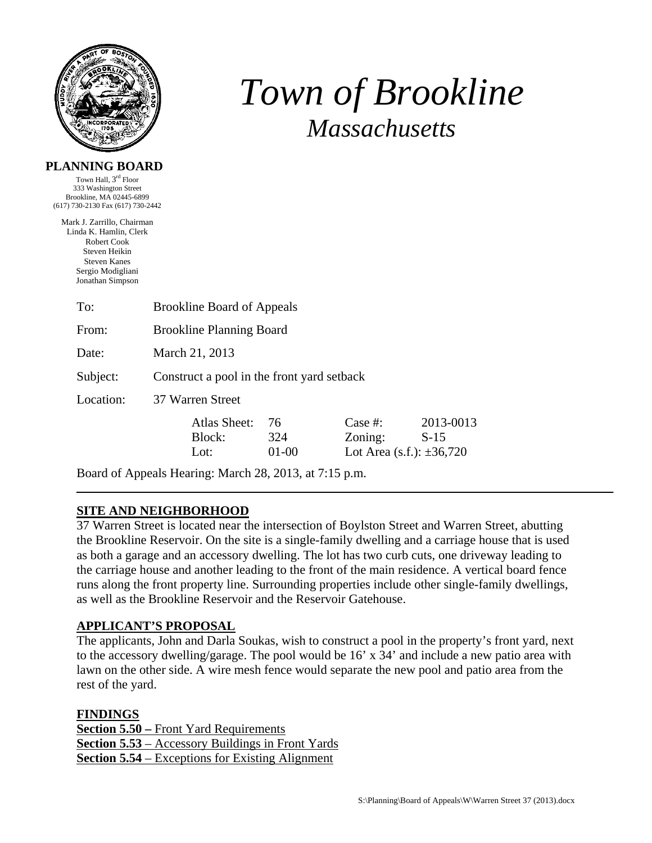

# *Town of Brookline Massachusetts*

#### **PLANNING BOARD**

Town Hall, 3rd Floor 333 Washington Street Brookline, MA 02445-6899 (617) 730-2130 Fax (617) 730-2442

Mark J. Zarrillo, Chairman Linda K. Hamlin, Clerk Robert Cook Steven Heikin Steven Kanes Sergio Modigliani Jonathan Simpson

| To:       | <b>Brookline Board of Appeals</b>          |                                |                        |                                                     |                     |
|-----------|--------------------------------------------|--------------------------------|------------------------|-----------------------------------------------------|---------------------|
| From:     | <b>Brookline Planning Board</b>            |                                |                        |                                                     |                     |
| Date:     | March 21, 2013                             |                                |                        |                                                     |                     |
| Subject:  | Construct a pool in the front yard setback |                                |                        |                                                     |                     |
| Location: | 37 Warren Street                           |                                |                        |                                                     |                     |
|           |                                            | Atlas Sheet:<br>Block:<br>Lot: | 76<br>324<br>$01 - 00$ | Case #:<br>Zoning:<br>Lot Area (s.f.): $\pm 36,720$ | 2013-0013<br>$S-15$ |
|           |                                            |                                |                        |                                                     |                     |

Board of Appeals Hearing: March 28, 2013, at 7:15 p.m.

# **SITE AND NEIGHBORHOOD**

37 Warren Street is located near the intersection of Boylston Street and Warren Street, abutting the Brookline Reservoir. On the site is a single-family dwelling and a carriage house that is used as both a garage and an accessory dwelling. The lot has two curb cuts, one driveway leading to the carriage house and another leading to the front of the main residence. A vertical board fence runs along the front property line. Surrounding properties include other single-family dwellings, as well as the Brookline Reservoir and the Reservoir Gatehouse.

# **APPLICANT'S PROPOSAL**

The applicants, John and Darla Soukas, wish to construct a pool in the property's front yard, next to the accessory dwelling/garage. The pool would be 16' x 34' and include a new patio area with lawn on the other side. A wire mesh fence would separate the new pool and patio area from the rest of the yard.

**FINDINGS Section 5.50 –** Front Yard Requirements **Section 5.53** – Accessory Buildings in Front Yards **Section 5.54** – Exceptions for Existing Alignment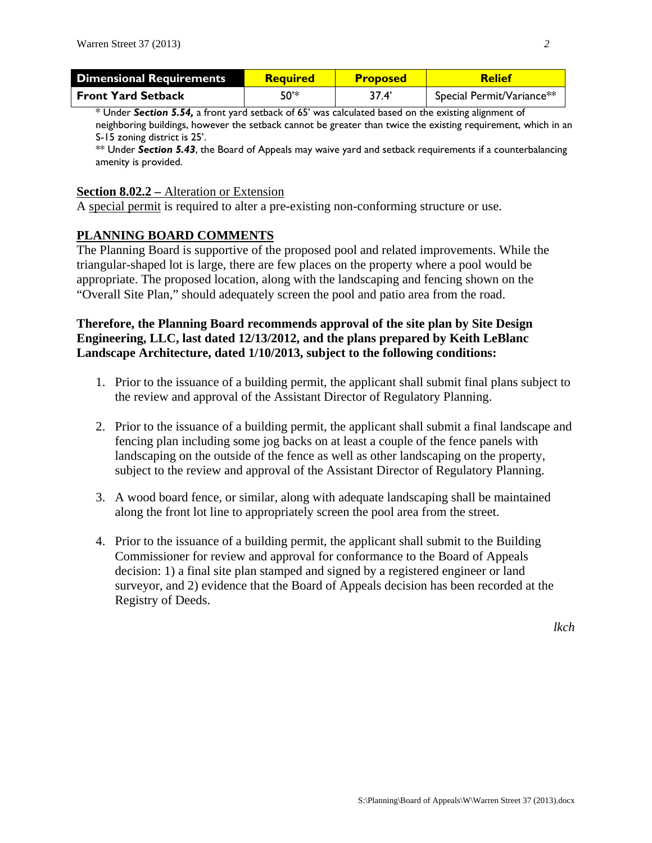| <b>Dimensional Requirements</b> | <b>Required</b> | <b>Proposed</b> | <b>Relief</b>             |
|---------------------------------|-----------------|-----------------|---------------------------|
| <b>Front Yard Setback</b>       | 50'*            | 37.4            | Special Permit/Variance** |

\* Under *Section 5.54,* a front yard setback of 65' was calculated based on the existing alignment of neighboring buildings, however the setback cannot be greater than twice the existing requirement, which in an S-15 zoning district is 25'.

\*\* Under *Section 5.43*, the Board of Appeals may waive yard and setback requirements if a counterbalancing amenity is provided.

#### **Section 8.02.2 –** Alteration or Extension

A special permit is required to alter a pre-existing non-conforming structure or use.

### **PLANNING BOARD COMMENTS**

The Planning Board is supportive of the proposed pool and related improvements. While the triangular-shaped lot is large, there are few places on the property where a pool would be appropriate. The proposed location, along with the landscaping and fencing shown on the "Overall Site Plan," should adequately screen the pool and patio area from the road.

## **Therefore, the Planning Board recommends approval of the site plan by Site Design Engineering, LLC, last dated 12/13/2012, and the plans prepared by Keith LeBlanc Landscape Architecture, dated 1/10/2013, subject to the following conditions:**

- 1. Prior to the issuance of a building permit, the applicant shall submit final plans subject to the review and approval of the Assistant Director of Regulatory Planning.
- 2. Prior to the issuance of a building permit, the applicant shall submit a final landscape and fencing plan including some jog backs on at least a couple of the fence panels with landscaping on the outside of the fence as well as other landscaping on the property, subject to the review and approval of the Assistant Director of Regulatory Planning.
- 3. A wood board fence, or similar, along with adequate landscaping shall be maintained along the front lot line to appropriately screen the pool area from the street.
- 4. Prior to the issuance of a building permit, the applicant shall submit to the Building Commissioner for review and approval for conformance to the Board of Appeals decision: 1) a final site plan stamped and signed by a registered engineer or land surveyor, and 2) evidence that the Board of Appeals decision has been recorded at the Registry of Deeds.

*lkch*